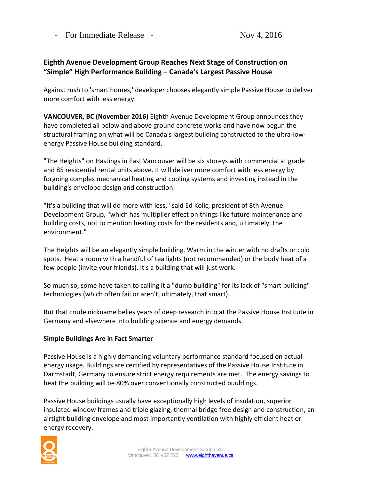- For Immediate Release - Nov 4, 2016

## **Eighth Avenue Development Group Reaches Next Stage of Construction on "Simple" High Performance Building – Canada's Largest Passive House**

Against rush to 'smart homes,' developer chooses elegantly simple Passive House to deliver more comfort with less energy.

**VANCOUVER, BC (November 2016)** Eighth Avenue Development Group announces they have completed all below and above ground concrete works and have now begun the structural framing on what will be Canada's largest building constructed to the ultra-lowenergy Passive House building standard.

"The Heights" on Hastings in East Vancouver will be six storeys with commercial at grade and 85 residential rental units above. It will deliver more comfort with less energy by forgoing complex mechanical heating and cooling systems and investing instead in the building's envelope design and construction.

"It's a building that will do more with less," said Ed Kolic, president of 8th Avenue Development Group, "which has multiplier effect on things like future maintenance and building costs, not to mention heating costs for the residents and, ultimately, the environment."

The Heights will be an elegantly simple building. Warm in the winter with no drafts or cold spots. Heat a room with a handful of tea lights (not recommended) or the body heat of a few people (invite your friends). It's a building that will just work.

So much so, some have taken to calling it a "dumb building" for its lack of "smart building" technologies (which often fail or aren't, ultimately, that smart).

But that crude nickname belies years of deep research into at the Passive House Institute in Germany and elsewhere into building science and energy demands.

## **Simple Buildings Are in Fact Smarter**

Passive House is a highly demanding voluntary performance standard focused on actual energy usage. Buildings are certified by representatives of the Passive House Institute in Darmstadt, Germany to ensure strict energy requirements are met. The energy savings to heat the building will be 80% over conventionally constructed buuldings.

Passive House buildings usually have exceptionally high levels of insulation, superior insulated window frames and triple glazing, thermal bridge free design and construction, an airtight building envelope and most importantly ventilation with highly efficient heat or energy recovery.